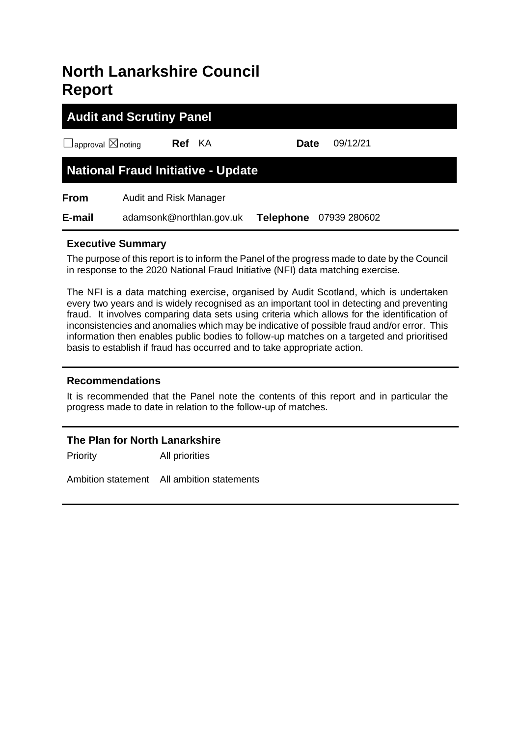# **North Lanarkshire Council Report**

# **Audit and Scrutiny Panel** ☐approval ☒noting **Ref** KA **Date** 09/12/21 **National Fraud Initiative - Update From** Audit and Risk Manager **E-mail** adamsonk@northlan.gov.uk **Telephone** 07939 280602

# **Executive Summary**

The purpose of this report is to inform the Panel of the progress made to date by the Council in response to the 2020 National Fraud Initiative (NFI) data matching exercise.

The NFI is a data matching exercise, organised by Audit Scotland, which is undertaken every two years and is widely recognised as an important tool in detecting and preventing fraud. It involves comparing data sets using criteria which allows for the identification of inconsistencies and anomalies which may be indicative of possible fraud and/or error. This information then enables public bodies to follow-up matches on a targeted and prioritised basis to establish if fraud has occurred and to take appropriate action.

#### **Recommendations**

It is recommended that the Panel note the contents of this report and in particular the progress made to date in relation to the follow-up of matches.

#### **The Plan for North Lanarkshire**

Priority All priorities

Ambition statement All ambition statements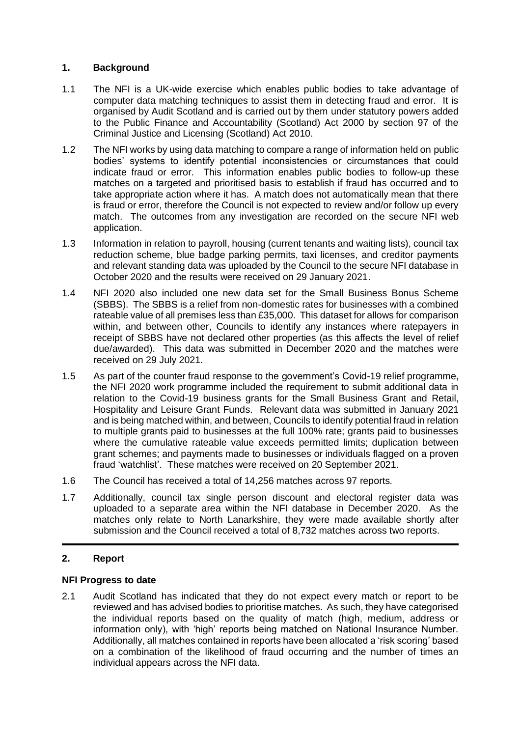#### **1. Background**

- 1.1 The NFI is a UK-wide exercise which enables public bodies to take advantage of computer data matching techniques to assist them in detecting fraud and error. It is organised by Audit Scotland and is carried out by them under statutory powers added to the Public Finance and Accountability (Scotland) Act 2000 by section 97 of the Criminal Justice and Licensing (Scotland) Act 2010.
- 1.2 The NFI works by using data matching to compare a range of information held on public bodies' systems to identify potential inconsistencies or circumstances that could indicate fraud or error. This information enables public bodies to follow-up these matches on a targeted and prioritised basis to establish if fraud has occurred and to take appropriate action where it has. A match does not automatically mean that there is fraud or error, therefore the Council is not expected to review and/or follow up every match. The outcomes from any investigation are recorded on the secure NFI web application.
- 1.3 Information in relation to payroll, housing (current tenants and waiting lists), council tax reduction scheme, blue badge parking permits, taxi licenses, and creditor payments and relevant standing data was uploaded by the Council to the secure NFI database in October 2020 and the results were received on 29 January 2021.
- 1.4 NFI 2020 also included one new data set for the Small Business Bonus Scheme (SBBS). The SBBS is a relief from non-domestic rates for businesses with a combined rateable value of all premises less than £35,000. This dataset for allows for comparison within, and between other, Councils to identify any instances where ratepayers in receipt of SBBS have not declared other properties (as this affects the level of relief due/awarded). This data was submitted in December 2020 and the matches were received on 29 July 2021.
- 1.5 As part of the counter fraud response to the government's Covid-19 relief programme, the NFI 2020 work programme included the requirement to submit additional data in relation to the Covid-19 business grants for the Small Business Grant and Retail, Hospitality and Leisure Grant Funds. Relevant data was submitted in January 2021 and is being matched within, and between, Councils to identify potential fraud in relation to multiple grants paid to businesses at the full 100% rate; grants paid to businesses where the cumulative rateable value exceeds permitted limits; duplication between grant schemes; and payments made to businesses or individuals flagged on a proven fraud 'watchlist'. These matches were received on 20 September 2021.
- 1.6 The Council has received a total of 14,256 matches across 97 reports.
- 1.7 Additionally, council tax single person discount and electoral register data was uploaded to a separate area within the NFI database in December 2020. As the matches only relate to North Lanarkshire, they were made available shortly after submission and the Council received a total of 8,732 matches across two reports.

# **2. Report**

#### **NFI Progress to date**

2.1 Audit Scotland has indicated that they do not expect every match or report to be reviewed and has advised bodies to prioritise matches. As such, they have categorised the individual reports based on the quality of match (high, medium, address or information only), with 'high' reports being matched on National Insurance Number. Additionally, all matches contained in reports have been allocated a 'risk scoring' based on a combination of the likelihood of fraud occurring and the number of times an individual appears across the NFI data.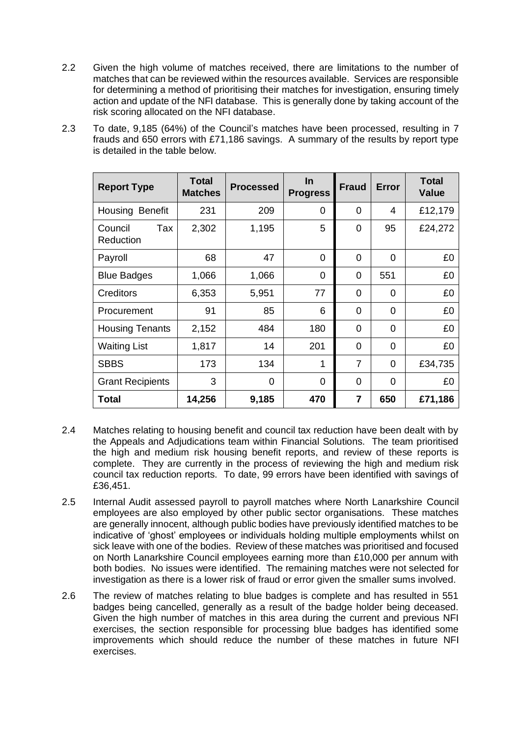- 2.2 Given the high volume of matches received, there are limitations to the number of matches that can be reviewed within the resources available. Services are responsible for determining a method of prioritising their matches for investigation, ensuring timely action and update of the NFI database. This is generally done by taking account of the risk scoring allocated on the NFI database.
- 2.3 To date, 9,185 (64%) of the Council's matches have been processed, resulting in 7 frauds and 650 errors with £71,186 savings. A summary of the results by report type is detailed in the table below.

| <b>Report Type</b>          | <b>Total</b><br><b>Matches</b> | <b>Processed</b> | <u>In</u><br><b>Progress</b> | <b>Fraud</b>   | <b>Error</b> | <b>Total</b><br>Value |
|-----------------------------|--------------------------------|------------------|------------------------------|----------------|--------------|-----------------------|
| Housing Benefit             | 231                            | 209              | 0                            | $\overline{0}$ | 4            | £12,179               |
| Council<br>Tax<br>Reduction | 2,302                          | 1,195            | 5                            | 0              | 95           | £24,272               |
| Payroll                     | 68                             | 47               | $\Omega$                     | $\Omega$       | 0            | £0                    |
| <b>Blue Badges</b>          | 1,066                          | 1,066            | 0                            | 0              | 551          | £0                    |
| <b>Creditors</b>            | 6,353                          | 5,951            | 77                           | 0              | $\Omega$     | £0                    |
| Procurement                 | 91                             | 85               | 6                            | 0              | $\Omega$     | £0                    |
| <b>Housing Tenants</b>      | 2,152                          | 484              | 180                          | 0              | $\Omega$     | £0                    |
| <b>Waiting List</b>         | 1,817                          | 14               | 201                          | 0              | 0            | £0                    |
| <b>SBBS</b>                 | 173                            | 134              |                              | $\overline{7}$ | $\Omega$     | £34,735               |
| <b>Grant Recipients</b>     | 3                              | $\Omega$         | 0                            | $\overline{0}$ | 0            | £0                    |
| Total                       | 14,256                         | 9,185            | 470                          | $\overline{7}$ | 650          | £71,186               |

- 2.4 Matches relating to housing benefit and council tax reduction have been dealt with by the Appeals and Adjudications team within Financial Solutions. The team prioritised the high and medium risk housing benefit reports, and review of these reports is complete. They are currently in the process of reviewing the high and medium risk council tax reduction reports. To date, 99 errors have been identified with savings of £36,451.
- 2.5 Internal Audit assessed payroll to payroll matches where North Lanarkshire Council employees are also employed by other public sector organisations. These matches are generally innocent, although public bodies have previously identified matches to be indicative of 'ghost' employees or individuals holding multiple employments whilst on sick leave with one of the bodies. Review of these matches was prioritised and focused on North Lanarkshire Council employees earning more than £10,000 per annum with both bodies. No issues were identified. The remaining matches were not selected for investigation as there is a lower risk of fraud or error given the smaller sums involved.
- 2.6 The review of matches relating to blue badges is complete and has resulted in 551 badges being cancelled, generally as a result of the badge holder being deceased. Given the high number of matches in this area during the current and previous NFI exercises, the section responsible for processing blue badges has identified some improvements which should reduce the number of these matches in future NFI exercises.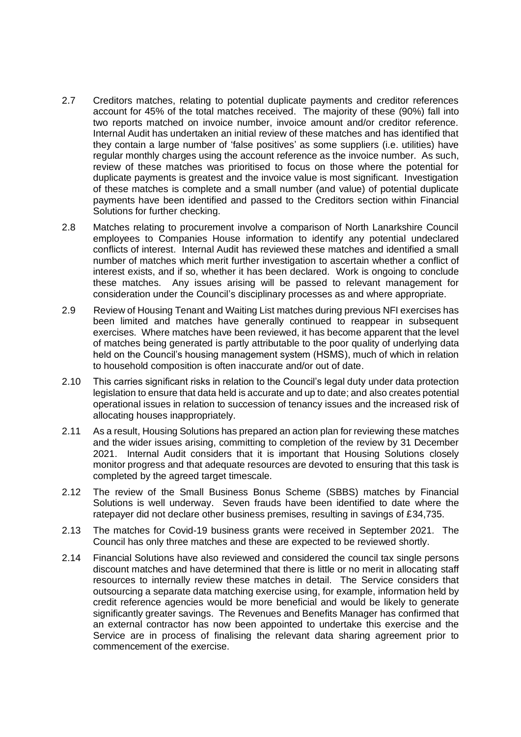- 2.7 Creditors matches, relating to potential duplicate payments and creditor references account for 45% of the total matches received. The majority of these (90%) fall into two reports matched on invoice number, invoice amount and/or creditor reference. Internal Audit has undertaken an initial review of these matches and has identified that they contain a large number of 'false positives' as some suppliers (i.e. utilities) have regular monthly charges using the account reference as the invoice number. As such, review of these matches was prioritised to focus on those where the potential for duplicate payments is greatest and the invoice value is most significant. Investigation of these matches is complete and a small number (and value) of potential duplicate payments have been identified and passed to the Creditors section within Financial Solutions for further checking.
- 2.8 Matches relating to procurement involve a comparison of North Lanarkshire Council employees to Companies House information to identify any potential undeclared conflicts of interest. Internal Audit has reviewed these matches and identified a small number of matches which merit further investigation to ascertain whether a conflict of interest exists, and if so, whether it has been declared. Work is ongoing to conclude these matches. Any issues arising will be passed to relevant management for consideration under the Council's disciplinary processes as and where appropriate.
- 2.9 Review of Housing Tenant and Waiting List matches during previous NFI exercises has been limited and matches have generally continued to reappear in subsequent exercises. Where matches have been reviewed, it has become apparent that the level of matches being generated is partly attributable to the poor quality of underlying data held on the Council's housing management system (HSMS), much of which in relation to household composition is often inaccurate and/or out of date.
- 2.10 This carries significant risks in relation to the Council's legal duty under data protection legislation to ensure that data held is accurate and up to date; and also creates potential operational issues in relation to succession of tenancy issues and the increased risk of allocating houses inappropriately.
- 2.11 As a result, Housing Solutions has prepared an action plan for reviewing these matches and the wider issues arising, committing to completion of the review by 31 December 2021. Internal Audit considers that it is important that Housing Solutions closely monitor progress and that adequate resources are devoted to ensuring that this task is completed by the agreed target timescale.
- 2.12 The review of the Small Business Bonus Scheme (SBBS) matches by Financial Solutions is well underway. Seven frauds have been identified to date where the ratepayer did not declare other business premises, resulting in savings of £34,735.
- 2.13 The matches for Covid-19 business grants were received in September 2021. The Council has only three matches and these are expected to be reviewed shortly.
- 2.14 Financial Solutions have also reviewed and considered the council tax single persons discount matches and have determined that there is little or no merit in allocating staff resources to internally review these matches in detail. The Service considers that outsourcing a separate data matching exercise using, for example, information held by credit reference agencies would be more beneficial and would be likely to generate significantly greater savings. The Revenues and Benefits Manager has confirmed that an external contractor has now been appointed to undertake this exercise and the Service are in process of finalising the relevant data sharing agreement prior to commencement of the exercise.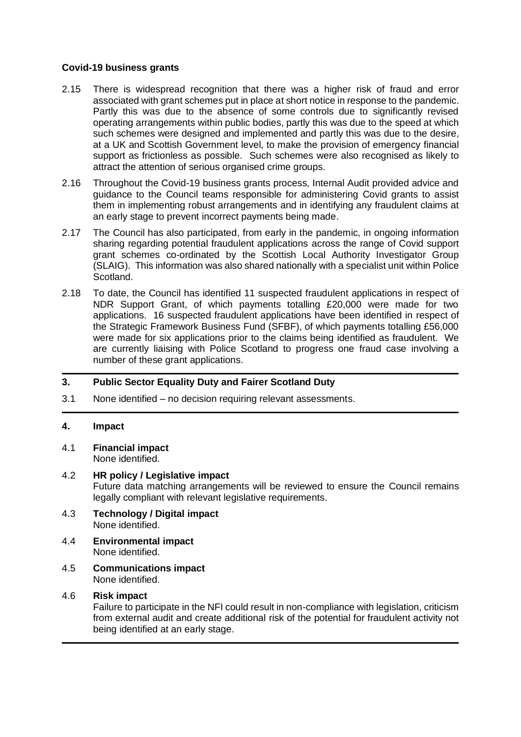#### **Covid-19 business grants**

- 2.15 There is widespread recognition that there was a higher risk of fraud and error associated with grant schemes put in place at short notice in response to the pandemic. Partly this was due to the absence of some controls due to significantly revised operating arrangements within public bodies, partly this was due to the speed at which such schemes were designed and implemented and partly this was due to the desire, at a UK and Scottish Government level, to make the provision of emergency financial support as frictionless as possible. Such schemes were also recognised as likely to attract the attention of serious organised crime groups.
- 2.16 Throughout the Covid-19 business grants process, Internal Audit provided advice and guidance to the Council teams responsible for administering Covid grants to assist them in implementing robust arrangements and in identifying any fraudulent claims at an early stage to prevent incorrect payments being made.
- 2.17 The Council has also participated, from early in the pandemic, in ongoing information sharing regarding potential fraudulent applications across the range of Covid support grant schemes co-ordinated by the Scottish Local Authority Investigator Group (SLAIG). This information was also shared nationally with a specialist unit within Police Scotland.
- 2.18 To date, the Council has identified 11 suspected fraudulent applications in respect of NDR Support Grant, of which payments totalling £20,000 were made for two applications. 16 suspected fraudulent applications have been identified in respect of the Strategic Framework Business Fund (SFBF), of which payments totalling £56,000 were made for six applications prior to the claims being identified as fraudulent. We are currently liaising with Police Scotland to progress one fraud case involving a number of these grant applications.

# **3. Public Sector Equality Duty and Fairer Scotland Duty**

3.1 None identified – no decision requiring relevant assessments.

#### **4. Impact**

4.1 **Financial impact**

None identified.

#### 4.2 **HR policy / Legislative impact**

Future data matching arrangements will be reviewed to ensure the Council remains legally compliant with relevant legislative requirements.

- 4.3 **Technology / Digital impact** None identified.
- 4.4 **Environmental impact** None identified.
- 4.5 **Communications impact** None identified.

#### 4.6 **Risk impact**

Failure to participate in the NFI could result in non-compliance with legislation, criticism from external audit and create additional risk of the potential for fraudulent activity not being identified at an early stage.